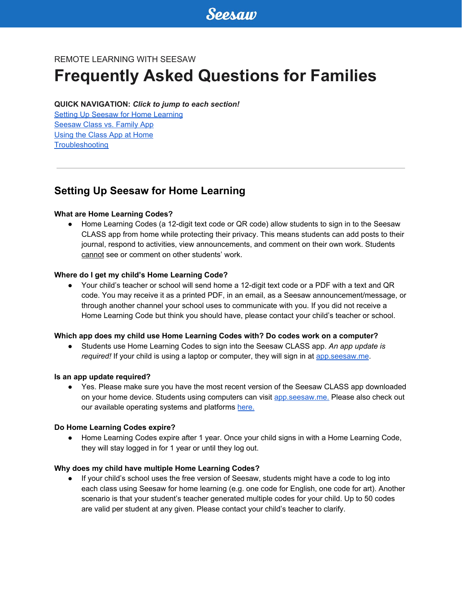# REMOTE LEARNING WITH SEESAW

# **Frequently Asked Questions for Families**

#### **QUICK NAVIGATION:** *Click to jump to each section!*

Setting Up Seesaw for Home [Learning](#page-0-0) **[Seesaw](#page-1-0) Class vs. Family App** Using the Class App at [Home](#page-1-1) **[Troubleshooting](#page-2-0)** 

# <span id="page-0-0"></span>**Setting Up Seesaw for Home Learning**

# **What are Home Learning Codes?**

● Home Learning Codes (a 12-digit text code or QR code) allow students to sign in to the Seesaw CLASS app from home while protecting their privacy. This means students can add posts to their journal, respond to activities, view announcements, and comment on their own work. Students cannot see or comment on other students' work.

#### **Where do I get my child's Home Learning Code?**

● Your child's teacher or school will send home a 12-digit text code or a PDF with a text and QR code. You may receive it as a printed PDF, in an email, as a Seesaw announcement/message, or through another channel your school uses to communicate with you. If you did not receive a Home Learning Code but think you should have, please contact your child's teacher or school.

# **Which app does my child use Home Learning Codes with? Do codes work on a computer?**

● Students use Home Learning Codes to sign into the Seesaw CLASS app. *An app update is required!* If your child is using a laptop or computer, they will sign in at [app.seesaw.me](http://app.seesaw.me/).

#### **Is an app update required?**

• Yes. Please make sure you have the most recent version of the Seesaw CLASS app downloaded on your home device. Students using computers can visit [app.seesaw.me.](https://app.seesaw.me/) Please also check out our available operating systems and platforms [here.](https://help.seesaw.me/hc/en-us/articles/205070589-What-iOS-Android-or-Kindle-operating-systems-does-Seesaw-support-)

#### **Do Home Learning Codes expire?**

● Home Learning Codes expire after 1 year. Once your child signs in with a Home Learning Code, they will stay logged in for 1 year or until they log out.

# **Why does my child have multiple Home Learning Codes?**

● If your child's school uses the free version of Seesaw, students might have a code to log into each class using Seesaw for home learning (e.g. one code for English, one code for art). Another scenario is that your student's teacher generated multiple codes for your child. Up to 50 codes are valid per student at any given. Please contact your child's teacher to clarify.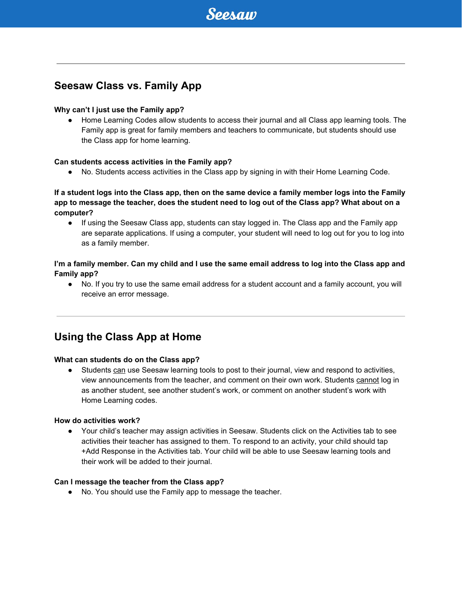# <span id="page-1-0"></span>**Seesaw Class vs. Family App**

### **Why can't I just use the Family app?**

● Home Learning Codes allow students to access their journal and all Class app learning tools. The Family app is great for family members and teachers to communicate, but students should use the Class app for home learning.

#### **Can students access activities in the Family app?**

● No. Students access activities in the Class app by signing in with their Home Learning Code.

# If a student logs into the Class app, then on the same device a family member logs into the Family app to message the teacher, does the student need to log out of the Class app? What about on a **computer?**

● If using the Seesaw Class app, students can stay logged in. The Class app and the Family app are separate applications. If using a computer, your student will need to log out for you to log into as a family member.

# I'm a family member. Can my child and I use the same email address to log into the Class app and **Family app?**

● No. If you try to use the same email address for a student account and a family account, you will receive an error message.

# <span id="page-1-1"></span>**Using the Class App at Home**

#### **What can students do on the Class app?**

● Students can use Seesaw learning tools to post to their journal, view and respond to activities, view announcements from the teacher, and comment on their own work. Students cannot log in as another student, see another student's work, or comment on another student's work with Home Learning codes.

#### **How do activities work?**

● Your child's teacher may assign activities in Seesaw. Students click on the Activities tab to see activities their teacher has assigned to them. To respond to an activity, your child should tap +Add Response in the Activities tab. Your child will be able to use Seesaw learning tools and their work will be added to their journal.

#### **Can I message the teacher from the Class app?**

● No. You should use the Family app to message the teacher.